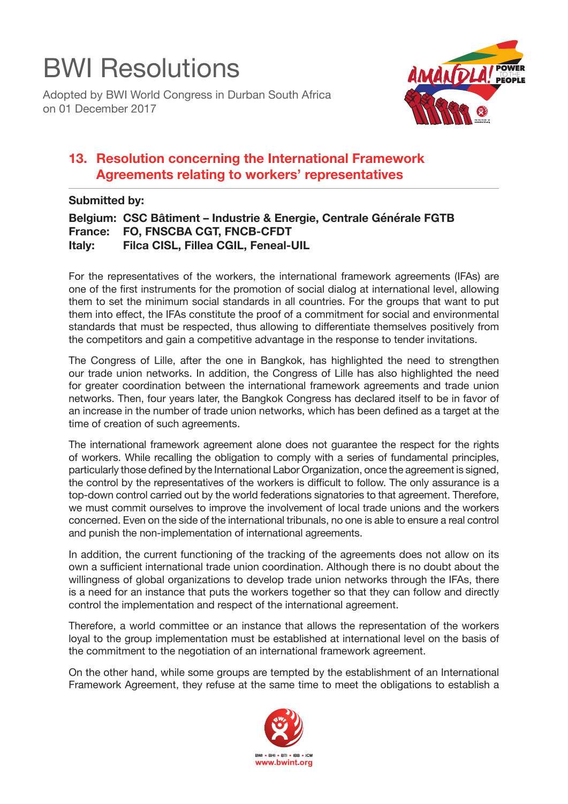## BWI Resolutions

Adopted by BWI World Congress in Durban South Africa on 01 December 2017



## **13. Resolution concerning the International Framework Agreements relating to workers' representatives**

## **Submitted by:**

```
Belgium: CSC Bâtiment – Industrie & Energie, Centrale Générale FGTB
France: FO, FNSCBA CGT, FNCB-CFDT
         Filca CISL, Fillea CGIL, Feneal-UIL
```
For the representatives of the workers, the international framework agreements (IFAs) are one of the first instruments for the promotion of social dialog at international level, allowing them to set the minimum social standards in all countries. For the groups that want to put them into effect, the IFAs constitute the proof of a commitment for social and environmental standards that must be respected, thus allowing to differentiate themselves positively from the competitors and gain a competitive advantage in the response to tender invitations.

The Congress of Lille, after the one in Bangkok, has highlighted the need to strengthen our trade union networks. In addition, the Congress of Lille has also highlighted the need for greater coordination between the international framework agreements and trade union networks. Then, four years later, the Bangkok Congress has declared itself to be in favor of an increase in the number of trade union networks, which has been defined as a target at the time of creation of such agreements.

The international framework agreement alone does not guarantee the respect for the rights of workers. While recalling the obligation to comply with a series of fundamental principles, particularly those defined by the International Labor Organization, once the agreement is signed, the control by the representatives of the workers is difficult to follow. The only assurance is a top-down control carried out by the world federations signatories to that agreement. Therefore, we must commit ourselves to improve the involvement of local trade unions and the workers concerned. Even on the side of the international tribunals, no one is able to ensure a real control and punish the non-implementation of international agreements.

In addition, the current functioning of the tracking of the agreements does not allow on its own a sufficient international trade union coordination. Although there is no doubt about the willingness of global organizations to develop trade union networks through the IFAs, there is a need for an instance that puts the workers together so that they can follow and directly control the implementation and respect of the international agreement.

Therefore, a world committee or an instance that allows the representation of the workers loyal to the group implementation must be established at international level on the basis of the commitment to the negotiation of an international framework agreement.

On the other hand, while some groups are tempted by the establishment of an International Framework Agreement, they refuse at the same time to meet the obligations to establish a